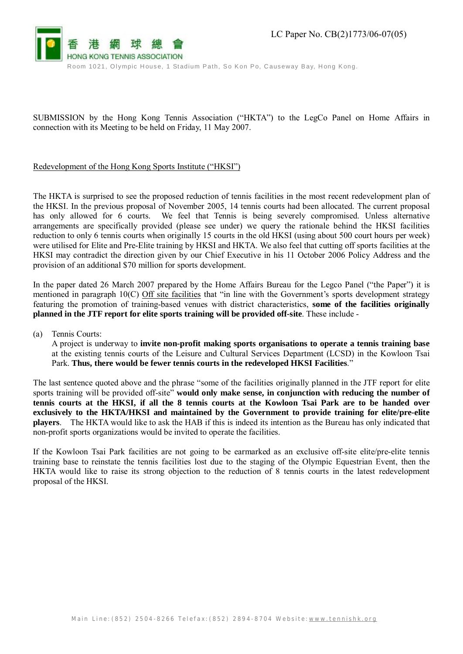

SUBMISSION by the Hong Kong Tennis Association ("HKTA") to the LegCo Panel on Home Affairs in connection with its Meeting to be held on Friday, 11 May 2007.

## Redevelopment of the Hong Kong Sports Institute ("HKSI")

The HKTA is surprised to see the proposed reduction of tennis facilities in the most recent redevelopment plan of the HKSI. In the previous proposal of November 2005, 14 tennis courts had been allocated. The current proposal has only allowed for 6 courts. We feel that Tennis is being severely compromised. Unless alternative arrangements are specifically provided (please see under) we query the rationale behind the HKSI facilities reduction to only 6 tennis courts when originally 15 courts in the old HKSI (using about 500 court hours per week) were utilised for Elite and Pre-Elite training by HKSI and HKTA. We also feel that cutting off sports facilities at the HKSI may contradict the direction given by our Chief Executive in his 11 October 2006 Policy Address and the provision of an additional \$70 million for sports development.

In the paper dated 26 March 2007 prepared by the Home Affairs Bureau for the Legco Panel ("the Paper") it is mentioned in paragraph 10(C) Off site facilities that "in line with the Government's sports development strategy featuring the promotion of training-based venues with district characteristics, **some of the facilities originally planned in the JTF report for elite sports training will be provided off-site**. These include -

(a) Tennis Courts:

A project is underway to **invite non-profit making sports organisations to operate a tennis training base** at the existing tennis courts of the Leisure and Cultural Services Department (LCSD) in the Kowloon Tsai Park. **Thus, there would be fewer tennis courts in the redeveloped HKSI Facilities**."

The last sentence quoted above and the phrase "some of the facilities originally planned in the JTF report for elite sports training will be provided off-site" **would only make sense, in conjunction with reducing the number of**  tennis courts at the HKSI, if all the 8 tennis courts at the Kowloon Tsai Park are to be handed over **exclusively to the HKTA/HKSI and maintained by the Government to provide training for elite/pre-elite players**. The HKTA would like to ask the HAB if this is indeed its intention as the Bureau has only indicated that non-profit sports organizations would be invited to operate the facilities.

If the Kowloon Tsai Park facilities are not going to be earmarked as an exclusive off-site elite/pre-elite tennis training base to reinstate the tennis facilities lost due to the staging of the Olympic Equestrian Event, then the HKTA would like to raise its strong objection to the reduction of 8 tennis courts in the latest redevelopment proposal of the HKSI.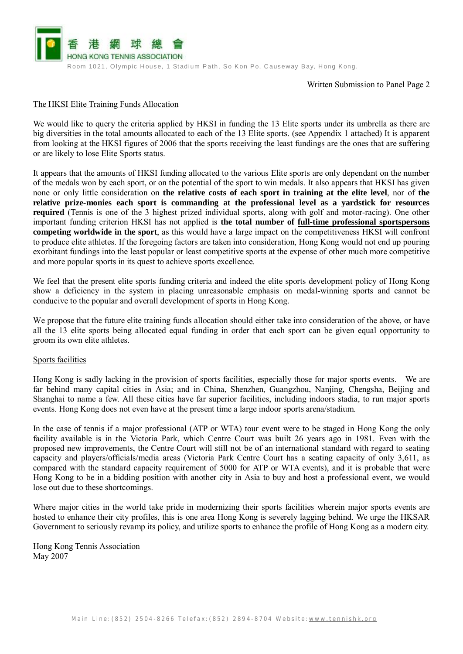

Written Submission to Panel Page 2

## The HKSI Elite Training Funds Allocation

We would like to query the criteria applied by HKSI in funding the 13 Elite sports under its umbrella as there are big diversities in the total amounts allocated to each of the 13 Elite sports. (see Appendix 1 attached) It is apparent from looking at the HKSI figures of 2006 that the sports receiving the least fundings are the ones that are suffering or are likely to lose Elite Sports status.

It appears that the amounts of HKSI funding allocated to the various Elite sports are only dependant on the number of the medals won by each sport, or on the potential of the sport to win medals. It also appears that HKSI has given none or only little consideration on **the relative costs of each sport in training at the elite level**, nor of **the relative prize-monies each sport is commanding at the professional level as a yardstick for resources required** (Tennis is one of the 3 highest prized individual sports, along with golf and motor-racing). One other important funding criterion HKSI has not applied is **the total number of full-time professional sportspersons competing worldwide in the sport**, as this would have a large impact on the competitiveness HKSI will confront to produce elite athletes. If the foregoing factors are taken into consideration, Hong Kong would not end up pouring exorbitant fundings into the least popular or least competitive sports at the expense of other much more competitive and more popular sports in its quest to achieve sports excellence.

We feel that the present elite sports funding criteria and indeed the elite sports development policy of Hong Kong show a deficiency in the system in placing unreasonable emphasis on medal-winning sports and cannot be conducive to the popular and overall development of sports in Hong Kong.

We propose that the future elite training funds allocation should either take into consideration of the above, or have all the 13 elite sports being allocated equal funding in order that each sport can be given equal opportunity to groom its own elite athletes.

## Sports facilities

Hong Kong is sadly lacking in the provision of sports facilities, especially those for major sports events. We are far behind many capital cities in Asia; and in China, Shenzhen, Guangzhou, Nanjing, Chengsha, Beijing and Shanghai to name a few. All these cities have far superior facilities, including indoors stadia, to run major sports events. Hong Kong does not even have at the present time a large indoor sports arena/stadium.

In the case of tennis if a major professional (ATP or WTA) tour event were to be staged in Hong Kong the only facility available is in the Victoria Park, which Centre Court was built 26 years ago in 1981. Even with the proposed new improvements, the Centre Court will still not be of an international standard with regard to seating capacity and players/officials/media areas (Victoria Park Centre Court has a seating capacity of only 3,611, as compared with the standard capacity requirement of 5000 for ATP or WTA events), and it is probable that were Hong Kong to be in a bidding position with another city in Asia to buy and host a professional event, we would lose out due to these shortcomings.

Where major cities in the world take pride in modernizing their sports facilities wherein major sports events are hosted to enhance their city profiles, this is one area Hong Kong is severely lagging behind. We urge the HKSAR Government to seriously revamp its policy, and utilize sports to enhance the profile of Hong Kong as a modern city.

Hong Kong Tennis Association May 2007